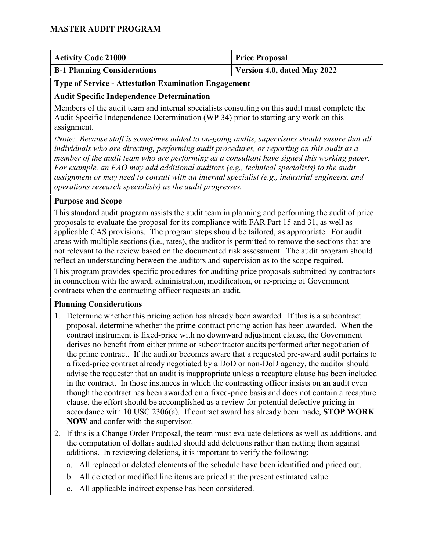| <b>Activity Code 21000</b>         | <b>Price Proposal</b>       |
|------------------------------------|-----------------------------|
| <b>B-1 Planning Considerations</b> | Version 4.0, dated May 2022 |

#### <span id="page-0-0"></span>**Type of Service - Attestation Examination Engagement**

#### **Audit Specific Independence Determination**

Members of the audit team and internal specialists consulting on this audit must complete the Audit Specific Independence Determination (WP 34) prior to starting any work on this assignment.

*(Note: Because staff is sometimes added to on-going audits, supervisors should ensure that all individuals who are directing, performing audit procedures, or reporting on this audit as a member of the audit team who are performing as a consultant have signed this working paper. For example, an FAO may add additional auditors (e.g., technical specialists) to the audit assignment or may need to consult with an internal specialist (e.g., industrial engineers, and operations research specialists) as the audit progresses.*

#### **Purpose and Scope**

This standard audit program assists the audit team in planning and performing the audit of price proposals to evaluate the proposal for its compliance with FAR Part 15 and 31, as well as applicable CAS provisions. The program steps should be tailored, as appropriate. For audit areas with multiple sections (i.e., rates), the auditor is permitted to remove the sections that are not relevant to the review based on the documented risk assessment. The audit program should reflect an understanding between the auditors and supervision as to the scope required.

This program provides specific procedures for auditing price proposals submitted by contractors in connection with the award, administration, modification, or re-pricing of Government contracts when the contracting officer requests an audit.

#### **Planning Considerations**

- 1. Determine whether this pricing action has already been awarded. If this is a subcontract proposal, determine whether the prime contract pricing action has been awarded. When the contract instrument is fixed-price with no downward adjustment clause, the Government derives no benefit from either prime or subcontractor audits performed after negotiation of the prime contract. If the auditor becomes aware that a requested pre-award audit pertains to a fixed-price contract already negotiated by a DoD or non-DoD agency, the auditor should advise the requester that an audit is inappropriate unless a recapture clause has been included in the contract. In those instances in which the contracting officer insists on an audit even though the contract has been awarded on a fixed-price basis and does not contain a recapture clause, the effort should be accomplished as a review for potential defective pricing in accordance with 10 USC 2306(a). If contract award has already been made, **STOP WORK NOW** and confer with the supervisor.
- 2. If this is a Change Order Proposal, the team must evaluate deletions as well as additions, and the computation of dollars audited should add deletions rather than netting them against additions. In reviewing deletions, it is important to verify the following:

a. All replaced or deleted elements of the schedule have been identified and priced out.

- b. All deleted or modified line items are priced at the present estimated value.
- c. All applicable indirect expense has been considered.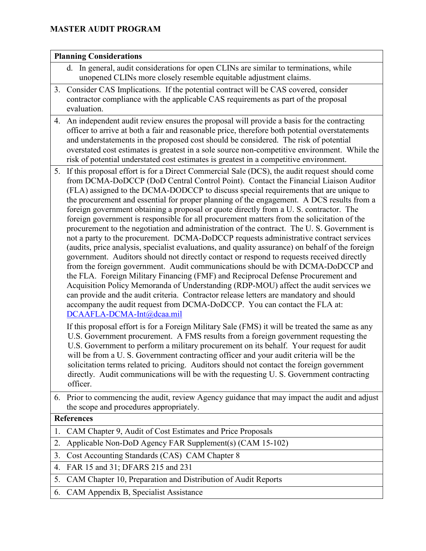#### **Planning Considerations** d. In general, audit considerations for open CLINs are similar to terminations, while unopened CLINs more closely resemble equitable adjustment claims. 3. Consider CAS Implications. If the potential contract will be CAS covered, consider contractor compliance with the applicable CAS requirements as part of the proposal evaluation. 4. An independent audit review ensures the proposal will provide a basis for the contracting officer to arrive at both a fair and reasonable price, therefore both potential overstatements and understatements in the proposed cost should be considered. The risk of potential overstated cost estimates is greatest in a sole source non-competitive environment. While the risk of potential understated cost estimates is greatest in a competitive environment. 5. If this proposal effort is for a Direct Commercial Sale (DCS), the audit request should come from DCMA-DoDCCP (DoD Central Control Point). Contact the Financial Liaison Auditor (FLA) assigned to the DCMA-DODCCP to discuss special requirements that are unique to the procurement and essential for proper planning of the engagement. A DCS results from a foreign government obtaining a proposal or quote directly from a U. S. contractor. The foreign government is responsible for all procurement matters from the solicitation of the procurement to the negotiation and administration of the contract. The U. S. Government is not a party to the procurement. DCMA-DoDCCP requests administrative contract services (audits, price analysis, specialist evaluations, and quality assurance) on behalf of the foreign government. Auditors should not directly contact or respond to requests received directly from the foreign government. Audit communications should be with DCMA-DoDCCP and the FLA. Foreign Military Financing (FMF) and Reciprocal Defense Procurement and Acquisition Policy Memoranda of Understanding (RDP-MOU) affect the audit services we can provide and the audit criteria. Contractor release letters are mandatory and should accompany the audit request from DCMA-DoDCCP. You can contact the FLA at: DCAAFLA-DCMA-Int@dcaa.mil If this proposal effort is for a Foreign Military Sale (FMS) it will be treated the same as any U.S. Government procurement. A FMS results from a foreign government requesting the U.S. Government to perform a military procurement on its behalf. Your request for audit will be from a U. S. Government contracting officer and your audit criteria will be the solicitation terms related to pricing. Auditors should not contact the foreign government directly. Audit communications will be with the requesting U. S. Government contracting officer. 6. Prior to commencing the audit, review Agency guidance that may impact the audit and adjust the scope and procedures appropriately. **References** 1. CAM Chapter 9, Audit of Cost Estimates and Price Proposals

- 2. Applicable Non-DoD Agency FAR Supplement(s) (CAM 15-102)
- 3. Cost Accounting Standards (CAS) CAM Chapter 8
- 4. FAR 15 and 31; DFARS 215 and 231
- 5. CAM Chapter 10, Preparation and Distribution of Audit Reports
- 6. CAM Appendix B, Specialist Assistance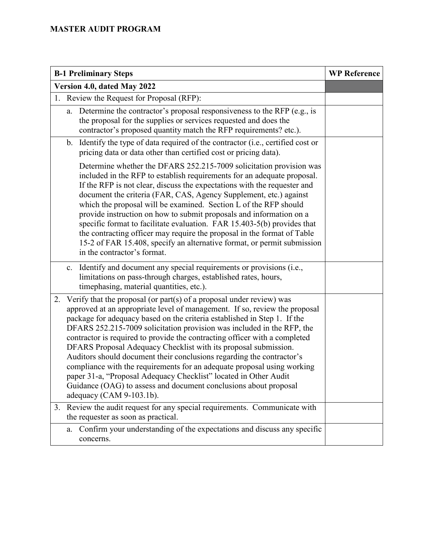| <b>B-1 Preliminary Steps</b>                                                                                                                                                                                                                                                                                                                                                                                                                                                                                                                                                                                                                                                                                                                                                               | <b>WP Reference</b> |
|--------------------------------------------------------------------------------------------------------------------------------------------------------------------------------------------------------------------------------------------------------------------------------------------------------------------------------------------------------------------------------------------------------------------------------------------------------------------------------------------------------------------------------------------------------------------------------------------------------------------------------------------------------------------------------------------------------------------------------------------------------------------------------------------|---------------------|
| Version 4.0, dated May 2022                                                                                                                                                                                                                                                                                                                                                                                                                                                                                                                                                                                                                                                                                                                                                                |                     |
| 1. Review the Request for Proposal (RFP):                                                                                                                                                                                                                                                                                                                                                                                                                                                                                                                                                                                                                                                                                                                                                  |                     |
| Determine the contractor's proposal responsiveness to the RFP (e.g., is<br>a.<br>the proposal for the supplies or services requested and does the<br>contractor's proposed quantity match the RFP requirements? etc.).                                                                                                                                                                                                                                                                                                                                                                                                                                                                                                                                                                     |                     |
| b. Identify the type of data required of the contractor (i.e., certified cost or<br>pricing data or data other than certified cost or pricing data).                                                                                                                                                                                                                                                                                                                                                                                                                                                                                                                                                                                                                                       |                     |
| Determine whether the DFARS 252.215-7009 solicitation provision was<br>included in the RFP to establish requirements for an adequate proposal.<br>If the RFP is not clear, discuss the expectations with the requester and<br>document the criteria (FAR, CAS, Agency Supplement, etc.) against<br>which the proposal will be examined. Section L of the RFP should<br>provide instruction on how to submit proposals and information on a<br>specific format to facilitate evaluation. FAR 15.403-5(b) provides that<br>the contracting officer may require the proposal in the format of Table<br>15-2 of FAR 15.408, specify an alternative format, or permit submission<br>in the contractor's format.                                                                                 |                     |
| Identify and document any special requirements or provisions (i.e.,<br>c.<br>limitations on pass-through charges, established rates, hours,<br>timephasing, material quantities, etc.).                                                                                                                                                                                                                                                                                                                                                                                                                                                                                                                                                                                                    |                     |
| Verify that the proposal (or part(s) of a proposal under review) was<br>2.<br>approved at an appropriate level of management. If so, review the proposal<br>package for adequacy based on the criteria established in Step 1. If the<br>DFARS 252.215-7009 solicitation provision was included in the RFP, the<br>contractor is required to provide the contracting officer with a completed<br>DFARS Proposal Adequacy Checklist with its proposal submission.<br>Auditors should document their conclusions regarding the contractor's<br>compliance with the requirements for an adequate proposal using working<br>paper 31-a, "Proposal Adequacy Checklist" located in Other Audit<br>Guidance (OAG) to assess and document conclusions about proposal<br>adequacy (CAM $9-103.1b$ ). |                     |
| Review the audit request for any special requirements. Communicate with<br>3.<br>the requester as soon as practical.                                                                                                                                                                                                                                                                                                                                                                                                                                                                                                                                                                                                                                                                       |                     |
| Confirm your understanding of the expectations and discuss any specific<br>a.<br>concerns.                                                                                                                                                                                                                                                                                                                                                                                                                                                                                                                                                                                                                                                                                                 |                     |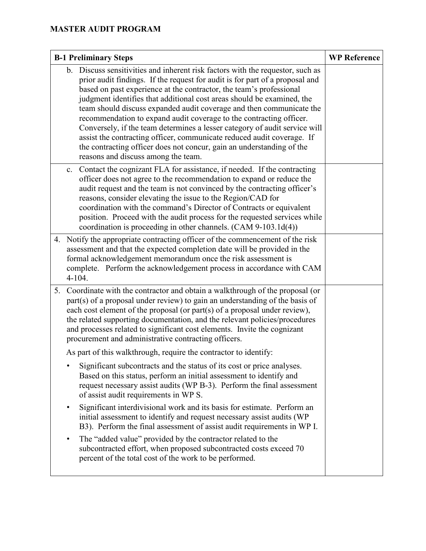| <b>B-1 Preliminary Steps</b> |                                                                                                                                                                                                                                                                                                                                                                                                                                                                                                                                                                                                                                                                                                                                        | <b>WP Reference</b> |
|------------------------------|----------------------------------------------------------------------------------------------------------------------------------------------------------------------------------------------------------------------------------------------------------------------------------------------------------------------------------------------------------------------------------------------------------------------------------------------------------------------------------------------------------------------------------------------------------------------------------------------------------------------------------------------------------------------------------------------------------------------------------------|---------------------|
|                              | b. Discuss sensitivities and inherent risk factors with the requestor, such as<br>prior audit findings. If the request for audit is for part of a proposal and<br>based on past experience at the contractor, the team's professional<br>judgment identifies that additional cost areas should be examined, the<br>team should discuss expanded audit coverage and then communicate the<br>recommendation to expand audit coverage to the contracting officer.<br>Conversely, if the team determines a lesser category of audit service will<br>assist the contracting officer, communicate reduced audit coverage. If<br>the contracting officer does not concur, gain an understanding of the<br>reasons and discuss among the team. |                     |
|                              | Contact the cognizant FLA for assistance, if needed. If the contracting<br>c.<br>officer does not agree to the recommendation to expand or reduce the<br>audit request and the team is not convinced by the contracting officer's<br>reasons, consider elevating the issue to the Region/CAD for<br>coordination with the command's Director of Contracts or equivalent<br>position. Proceed with the audit process for the requested services while<br>coordination is proceeding in other channels. (CAM 9-103.1d(4))                                                                                                                                                                                                                |                     |
|                              | 4. Notify the appropriate contracting officer of the commencement of the risk<br>assessment and that the expected completion date will be provided in the<br>formal acknowledgement memorandum once the risk assessment is<br>complete. Perform the acknowledgement process in accordance with CAM<br>$4 - 104.$                                                                                                                                                                                                                                                                                                                                                                                                                       |                     |
| 5.                           | Coordinate with the contractor and obtain a walkthrough of the proposal (or<br>part(s) of a proposal under review) to gain an understanding of the basis of<br>each cost element of the proposal (or part(s) of a proposal under review),<br>the related supporting documentation, and the relevant policies/procedures<br>and processes related to significant cost elements. Invite the cognizant<br>procurement and administrative contracting officers.                                                                                                                                                                                                                                                                            |                     |
|                              | As part of this walkthrough, require the contractor to identify:                                                                                                                                                                                                                                                                                                                                                                                                                                                                                                                                                                                                                                                                       |                     |
|                              | Significant subcontracts and the status of its cost or price analyses.<br>Based on this status, perform an initial assessment to identify and<br>request necessary assist audits (WP B-3). Perform the final assessment<br>of assist audit requirements in WP S.                                                                                                                                                                                                                                                                                                                                                                                                                                                                       |                     |
|                              | Significant interdivisional work and its basis for estimate. Perform an<br>initial assessment to identify and request necessary assist audits (WP<br>B3). Perform the final assessment of assist audit requirements in WP I.                                                                                                                                                                                                                                                                                                                                                                                                                                                                                                           |                     |
|                              | The "added value" provided by the contractor related to the<br>subcontracted effort, when proposed subcontracted costs exceed 70<br>percent of the total cost of the work to be performed.                                                                                                                                                                                                                                                                                                                                                                                                                                                                                                                                             |                     |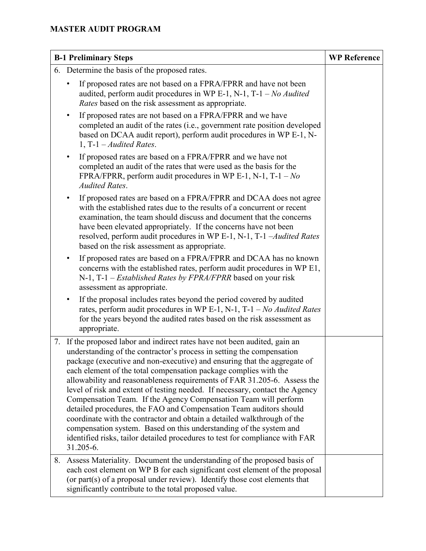| <b>B-1 Preliminary Steps</b> |                                                                                                                                                                                                                                                                                                                                                                                                                                                                                                                                                                                                                                                                                                                                                                                                                                                     | <b>WP Reference</b> |
|------------------------------|-----------------------------------------------------------------------------------------------------------------------------------------------------------------------------------------------------------------------------------------------------------------------------------------------------------------------------------------------------------------------------------------------------------------------------------------------------------------------------------------------------------------------------------------------------------------------------------------------------------------------------------------------------------------------------------------------------------------------------------------------------------------------------------------------------------------------------------------------------|---------------------|
|                              | 6. Determine the basis of the proposed rates.                                                                                                                                                                                                                                                                                                                                                                                                                                                                                                                                                                                                                                                                                                                                                                                                       |                     |
|                              | If proposed rates are not based on a FPRA/FPRR and have not been<br>$\bullet$<br>audited, perform audit procedures in WP E-1, N-1, T-1 - No Audited<br>Rates based on the risk assessment as appropriate.                                                                                                                                                                                                                                                                                                                                                                                                                                                                                                                                                                                                                                           |                     |
|                              | If proposed rates are not based on a FPRA/FPRR and we have<br>$\bullet$<br>completed an audit of the rates (i.e., government rate position developed<br>based on DCAA audit report), perform audit procedures in WP E-1, N-<br>1, T-1 $-Audited Rates$ .                                                                                                                                                                                                                                                                                                                                                                                                                                                                                                                                                                                            |                     |
|                              | If proposed rates are based on a FPRA/FPRR and we have not<br>$\bullet$<br>completed an audit of the rates that were used as the basis for the<br>FPRA/FPRR, perform audit procedures in WP E-1, N-1, T-1 - $No$<br><b>Audited Rates.</b>                                                                                                                                                                                                                                                                                                                                                                                                                                                                                                                                                                                                           |                     |
|                              | If proposed rates are based on a FPRA/FPRR and DCAA does not agree<br>٠<br>with the established rates due to the results of a concurrent or recent<br>examination, the team should discuss and document that the concerns<br>have been elevated appropriately. If the concerns have not been<br>resolved, perform audit procedures in WP E-1, N-1, T-1 -Audited Rates<br>based on the risk assessment as appropriate.                                                                                                                                                                                                                                                                                                                                                                                                                               |                     |
|                              | If proposed rates are based on a FPRA/FPRR and DCAA has no known<br>٠<br>concerns with the established rates, perform audit procedures in WP E1,<br>N-1, T-1 – <i>Established Rates by FPRA/FPRR</i> based on your risk<br>assessment as appropriate.                                                                                                                                                                                                                                                                                                                                                                                                                                                                                                                                                                                               |                     |
|                              | If the proposal includes rates beyond the period covered by audited<br>$\bullet$<br>rates, perform audit procedures in WP E-1, N-1, T-1 - No Audited Rates<br>for the years beyond the audited rates based on the risk assessment as<br>appropriate.                                                                                                                                                                                                                                                                                                                                                                                                                                                                                                                                                                                                |                     |
| 7.                           | If the proposed labor and indirect rates have not been audited, gain an<br>understanding of the contractor's process in setting the compensation<br>package (executive and non-executive) and ensuring that the aggregate of<br>each element of the total compensation package complies with the<br>allowability and reasonableness requirements of FAR 31.205-6. Assess the<br>level of risk and extent of testing needed. If necessary, contact the Agency<br>Compensation Team. If the Agency Compensation Team will perform<br>detailed procedures, the FAO and Compensation Team auditors should<br>coordinate with the contractor and obtain a detailed walkthrough of the<br>compensation system. Based on this understanding of the system and<br>identified risks, tailor detailed procedures to test for compliance with FAR<br>31.205-6. |                     |
| 8.                           | Assess Materiality. Document the understanding of the proposed basis of<br>each cost element on WP B for each significant cost element of the proposal<br>(or part(s) of a proposal under review). Identify those cost elements that<br>significantly contribute to the total proposed value.                                                                                                                                                                                                                                                                                                                                                                                                                                                                                                                                                       |                     |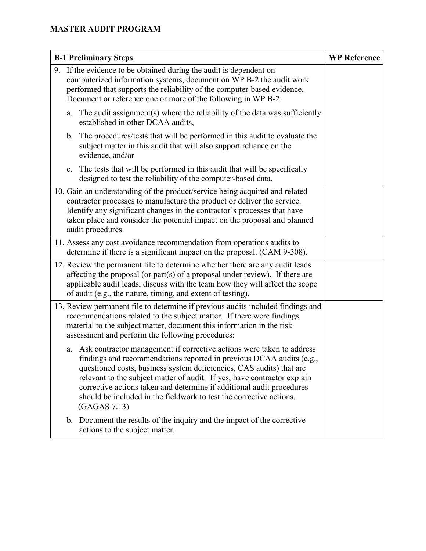| <b>B-1 Preliminary Steps</b>                                                                                                                                                                                                                                                                                                                                                                                                                                            | <b>WP Reference</b> |
|-------------------------------------------------------------------------------------------------------------------------------------------------------------------------------------------------------------------------------------------------------------------------------------------------------------------------------------------------------------------------------------------------------------------------------------------------------------------------|---------------------|
| 9. If the evidence to be obtained during the audit is dependent on<br>computerized information systems, document on WP B-2 the audit work<br>performed that supports the reliability of the computer-based evidence.<br>Document or reference one or more of the following in WP B-2:                                                                                                                                                                                   |                     |
| The audit assignment(s) where the reliability of the data was sufficiently<br>a.<br>established in other DCAA audits,                                                                                                                                                                                                                                                                                                                                                   |                     |
| The procedures/tests that will be performed in this audit to evaluate the<br>$\mathbf{b}$ .<br>subject matter in this audit that will also support reliance on the<br>evidence, and/or                                                                                                                                                                                                                                                                                  |                     |
| The tests that will be performed in this audit that will be specifically<br>c.<br>designed to test the reliability of the computer-based data.                                                                                                                                                                                                                                                                                                                          |                     |
| 10. Gain an understanding of the product/service being acquired and related<br>contractor processes to manufacture the product or deliver the service.<br>Identify any significant changes in the contractor's processes that have<br>taken place and consider the potential impact on the proposal and planned<br>audit procedures.                                                                                                                                    |                     |
| 11. Assess any cost avoidance recommendation from operations audits to<br>determine if there is a significant impact on the proposal. (CAM 9-308).                                                                                                                                                                                                                                                                                                                      |                     |
| 12. Review the permanent file to determine whether there are any audit leads<br>affecting the proposal (or part(s) of a proposal under review). If there are<br>applicable audit leads, discuss with the team how they will affect the scope<br>of audit (e.g., the nature, timing, and extent of testing).                                                                                                                                                             |                     |
| 13. Review permanent file to determine if previous audits included findings and<br>recommendations related to the subject matter. If there were findings<br>material to the subject matter, document this information in the risk<br>assessment and perform the following procedures:                                                                                                                                                                                   |                     |
| Ask contractor management if corrective actions were taken to address<br>a.<br>findings and recommendations reported in previous DCAA audits (e.g.,<br>questioned costs, business system deficiencies, CAS audits) that are<br>relevant to the subject matter of audit. If yes, have contractor explain<br>corrective actions taken and determine if additional audit procedures<br>should be included in the fieldwork to test the corrective actions.<br>(GAGAS 7.13) |                     |
| b. Document the results of the inquiry and the impact of the corrective<br>actions to the subject matter.                                                                                                                                                                                                                                                                                                                                                               |                     |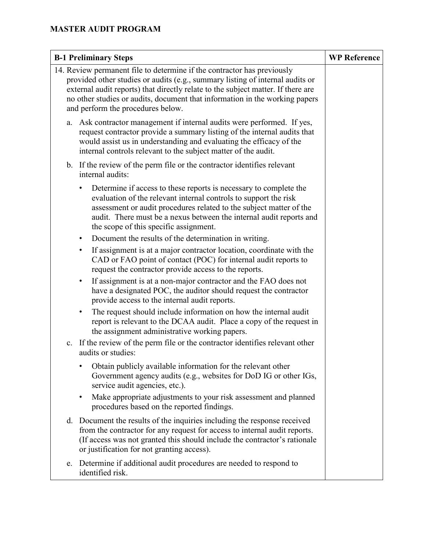| <b>B-1 Preliminary Steps</b>                                                                                                                                                                                                                                                                                                                                     | <b>WP Reference</b> |
|------------------------------------------------------------------------------------------------------------------------------------------------------------------------------------------------------------------------------------------------------------------------------------------------------------------------------------------------------------------|---------------------|
| 14. Review permanent file to determine if the contractor has previously<br>provided other studies or audits (e.g., summary listing of internal audits or<br>external audit reports) that directly relate to the subject matter. If there are<br>no other studies or audits, document that information in the working papers<br>and perform the procedures below. |                     |
| Ask contractor management if internal audits were performed. If yes,<br>a.<br>request contractor provide a summary listing of the internal audits that<br>would assist us in understanding and evaluating the efficacy of the<br>internal controls relevant to the subject matter of the audit.                                                                  |                     |
| b. If the review of the perm file or the contractor identifies relevant<br>internal audits:                                                                                                                                                                                                                                                                      |                     |
| Determine if access to these reports is necessary to complete the<br>evaluation of the relevant internal controls to support the risk<br>assessment or audit procedures related to the subject matter of the<br>audit. There must be a nexus between the internal audit reports and<br>the scope of this specific assignment.                                    |                     |
| Document the results of the determination in writing.<br>$\bullet$                                                                                                                                                                                                                                                                                               |                     |
| If assignment is at a major contractor location, coordinate with the<br>$\bullet$<br>CAD or FAO point of contact (POC) for internal audit reports to<br>request the contractor provide access to the reports.                                                                                                                                                    |                     |
| If assignment is at a non-major contractor and the FAO does not<br>$\bullet$<br>have a designated POC, the auditor should request the contractor<br>provide access to the internal audit reports.                                                                                                                                                                |                     |
| The request should include information on how the internal audit<br>$\bullet$<br>report is relevant to the DCAA audit. Place a copy of the request in<br>the assignment administrative working papers.                                                                                                                                                           |                     |
| c. If the review of the perm file or the contractor identifies relevant other<br>audits or studies:                                                                                                                                                                                                                                                              |                     |
| Obtain publicly available information for the relevant other<br>Government agency audits (e.g., websites for DoD IG or other IGs,<br>service audit agencies, etc.).                                                                                                                                                                                              |                     |
| Make appropriate adjustments to your risk assessment and planned<br>$\bullet$<br>procedures based on the reported findings.                                                                                                                                                                                                                                      |                     |
| d. Document the results of the inquiries including the response received<br>from the contractor for any request for access to internal audit reports.<br>(If access was not granted this should include the contractor's rationale<br>or justification for not granting access).                                                                                 |                     |
| e. Determine if additional audit procedures are needed to respond to<br>identified risk.                                                                                                                                                                                                                                                                         |                     |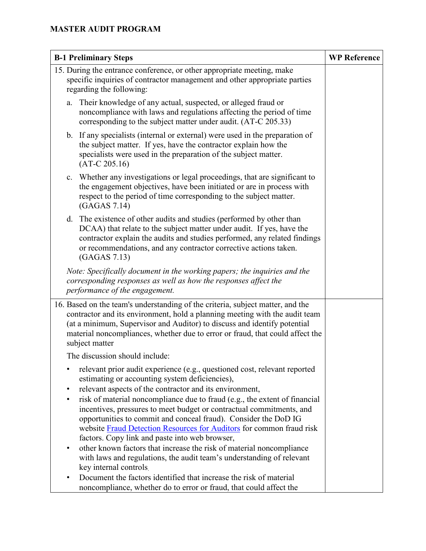| <b>B-1 Preliminary Steps</b>                                                                                                                                                                                                                                                                                                                 | <b>WP Reference</b> |
|----------------------------------------------------------------------------------------------------------------------------------------------------------------------------------------------------------------------------------------------------------------------------------------------------------------------------------------------|---------------------|
| 15. During the entrance conference, or other appropriate meeting, make<br>specific inquiries of contractor management and other appropriate parties<br>regarding the following:                                                                                                                                                              |                     |
| Their knowledge of any actual, suspected, or alleged fraud or<br>a.<br>noncompliance with laws and regulations affecting the period of time<br>corresponding to the subject matter under audit. (AT-C 205.33)                                                                                                                                |                     |
| b. If any specialists (internal or external) were used in the preparation of<br>the subject matter. If yes, have the contractor explain how the<br>specialists were used in the preparation of the subject matter.<br>$(AT-C 205.16)$                                                                                                        |                     |
| Whether any investigations or legal proceedings, that are significant to<br>c.<br>the engagement objectives, have been initiated or are in process with<br>respect to the period of time corresponding to the subject matter.<br>(GAGAS 7.14)                                                                                                |                     |
| d. The existence of other audits and studies (performed by other than<br>DCAA) that relate to the subject matter under audit. If yes, have the<br>contractor explain the audits and studies performed, any related findings<br>or recommendations, and any contractor corrective actions taken.<br>(GAGAS 7.13)                              |                     |
| Note: Specifically document in the working papers; the inquiries and the<br>corresponding responses as well as how the responses affect the<br>performance of the engagement.                                                                                                                                                                |                     |
| 16. Based on the team's understanding of the criteria, subject matter, and the<br>contractor and its environment, hold a planning meeting with the audit team<br>(at a minimum, Supervisor and Auditor) to discuss and identify potential<br>material noncompliances, whether due to error or fraud, that could affect the<br>subject matter |                     |
| The discussion should include:                                                                                                                                                                                                                                                                                                               |                     |
| relevant prior audit experience (e.g., questioned cost, relevant reported<br>$\bullet$<br>estimating or accounting system deficiencies),<br>relevant aspects of the contractor and its environment,<br>$\bullet$                                                                                                                             |                     |
| risk of material noncompliance due to fraud (e.g., the extent of financial<br>٠<br>incentives, pressures to meet budget or contractual commitments, and<br>opportunities to commit and conceal fraud). Consider the DoD IG<br>website Fraud Detection Resources for Auditors for common fraud risk                                           |                     |
| factors. Copy link and paste into web browser,<br>other known factors that increase the risk of material noncompliance<br>٠<br>with laws and regulations, the audit team's understanding of relevant<br>key internal controls.                                                                                                               |                     |
| Document the factors identified that increase the risk of material<br>noncompliance, whether do to error or fraud, that could affect the                                                                                                                                                                                                     |                     |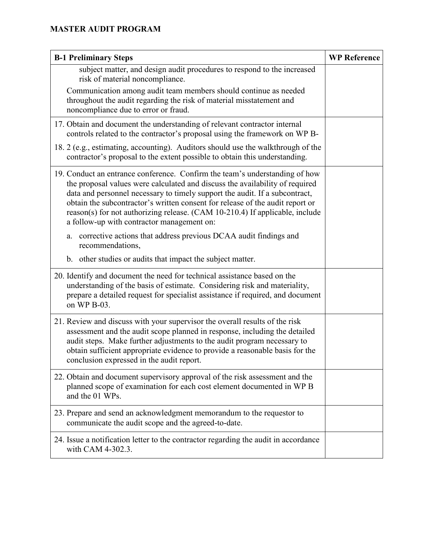| <b>B-1 Preliminary Steps</b>                                                                                                                                                                                                                                                                                                                                                                                                                              | <b>WP Reference</b> |
|-----------------------------------------------------------------------------------------------------------------------------------------------------------------------------------------------------------------------------------------------------------------------------------------------------------------------------------------------------------------------------------------------------------------------------------------------------------|---------------------|
| subject matter, and design audit procedures to respond to the increased<br>risk of material noncompliance.                                                                                                                                                                                                                                                                                                                                                |                     |
| Communication among audit team members should continue as needed<br>throughout the audit regarding the risk of material misstatement and<br>noncompliance due to error or fraud.                                                                                                                                                                                                                                                                          |                     |
| 17. Obtain and document the understanding of relevant contractor internal<br>controls related to the contractor's proposal using the framework on WP B-                                                                                                                                                                                                                                                                                                   |                     |
| 18. 2 (e.g., estimating, accounting). Auditors should use the walkthrough of the<br>contractor's proposal to the extent possible to obtain this understanding.                                                                                                                                                                                                                                                                                            |                     |
| 19. Conduct an entrance conference. Confirm the team's understanding of how<br>the proposal values were calculated and discuss the availability of required<br>data and personnel necessary to timely support the audit. If a subcontract,<br>obtain the subcontractor's written consent for release of the audit report or<br>reason(s) for not authorizing release. (CAM 10-210.4) If applicable, include<br>a follow-up with contractor management on: |                     |
| corrective actions that address previous DCAA audit findings and<br>a.<br>recommendations,                                                                                                                                                                                                                                                                                                                                                                |                     |
| b. other studies or audits that impact the subject matter.                                                                                                                                                                                                                                                                                                                                                                                                |                     |
| 20. Identify and document the need for technical assistance based on the<br>understanding of the basis of estimate. Considering risk and materiality,<br>prepare a detailed request for specialist assistance if required, and document<br>on WP B-03.                                                                                                                                                                                                    |                     |
| 21. Review and discuss with your supervisor the overall results of the risk<br>assessment and the audit scope planned in response, including the detailed<br>audit steps. Make further adjustments to the audit program necessary to<br>obtain sufficient appropriate evidence to provide a reasonable basis for the<br>conclusion expressed in the audit report.                                                                                         |                     |
| 22. Obtain and document supervisory approval of the risk assessment and the<br>planned scope of examination for each cost element documented in WP B<br>and the 01 WPs.                                                                                                                                                                                                                                                                                   |                     |
| 23. Prepare and send an acknowledgment memorandum to the requestor to<br>communicate the audit scope and the agreed-to-date.                                                                                                                                                                                                                                                                                                                              |                     |
| 24. Issue a notification letter to the contractor regarding the audit in accordance<br>with CAM 4-302.3.                                                                                                                                                                                                                                                                                                                                                  |                     |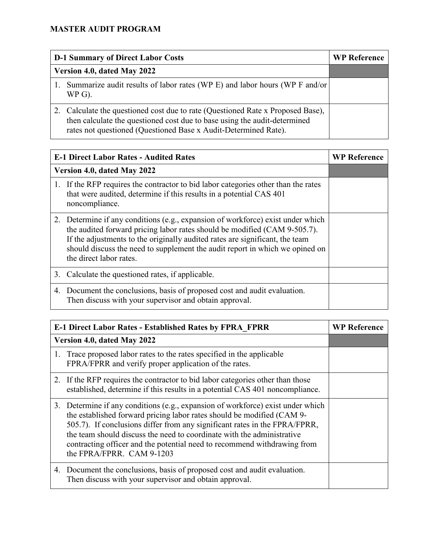| <b>D-1 Summary of Direct Labor Costs</b> |                                                                                                                                                                                                                              | <b>WP Reference</b> |
|------------------------------------------|------------------------------------------------------------------------------------------------------------------------------------------------------------------------------------------------------------------------------|---------------------|
| Version 4.0, dated May 2022              |                                                                                                                                                                                                                              |                     |
|                                          | Summarize audit results of labor rates (WP E) and labor hours (WP F and/or<br>$WP$ G).                                                                                                                                       |                     |
|                                          | Calculate the questioned cost due to rate (Questioned Rate x Proposed Base),<br>then calculate the questioned cost due to base using the audit-determined<br>rates not questioned (Questioned Base x Audit-Determined Rate). |                     |

| <b>E-1 Direct Labor Rates - Audited Rates</b> |                                                                                                                                                                                                                                                                                                                                                         | <b>WP Reference</b> |
|-----------------------------------------------|---------------------------------------------------------------------------------------------------------------------------------------------------------------------------------------------------------------------------------------------------------------------------------------------------------------------------------------------------------|---------------------|
| Version 4.0, dated May 2022                   |                                                                                                                                                                                                                                                                                                                                                         |                     |
|                                               | 1. If the RFP requires the contractor to bid labor categories other than the rates<br>that were audited, determine if this results in a potential CAS 401<br>noncompliance.                                                                                                                                                                             |                     |
|                                               | 2. Determine if any conditions (e.g., expansion of workforce) exist under which<br>the audited forward pricing labor rates should be modified (CAM 9-505.7).<br>If the adjustments to the originally audited rates are significant, the team<br>should discuss the need to supplement the audit report in which we opined on<br>the direct labor rates. |                     |
|                                               | 3. Calculate the questioned rates, if applicable.                                                                                                                                                                                                                                                                                                       |                     |
|                                               | 4. Document the conclusions, basis of proposed cost and audit evaluation.<br>Then discuss with your supervisor and obtain approval.                                                                                                                                                                                                                     |                     |

| <b>E-1 Direct Labor Rates - Established Rates by FPRA FPRR</b> |                                                                                                                                                                                                                                                                                                                                                                                                                            | <b>WP Reference</b> |
|----------------------------------------------------------------|----------------------------------------------------------------------------------------------------------------------------------------------------------------------------------------------------------------------------------------------------------------------------------------------------------------------------------------------------------------------------------------------------------------------------|---------------------|
|                                                                | Version 4.0, dated May 2022                                                                                                                                                                                                                                                                                                                                                                                                |                     |
|                                                                | 1. Trace proposed labor rates to the rates specified in the applicable<br>FPRA/FPRR and verify proper application of the rates.                                                                                                                                                                                                                                                                                            |                     |
|                                                                | 2. If the RFP requires the contractor to bid labor categories other than those<br>established, determine if this results in a potential CAS 401 noncompliance.                                                                                                                                                                                                                                                             |                     |
|                                                                | 3. Determine if any conditions (e.g., expansion of workforce) exist under which<br>the established forward pricing labor rates should be modified (CAM 9-<br>505.7). If conclusions differ from any significant rates in the FPRA/FPRR,<br>the team should discuss the need to coordinate with the administrative<br>contracting officer and the potential need to recommend withdrawing from<br>the FPRA/FPRR. CAM 9-1203 |                     |
|                                                                | 4. Document the conclusions, basis of proposed cost and audit evaluation.<br>Then discuss with your supervisor and obtain approval.                                                                                                                                                                                                                                                                                        |                     |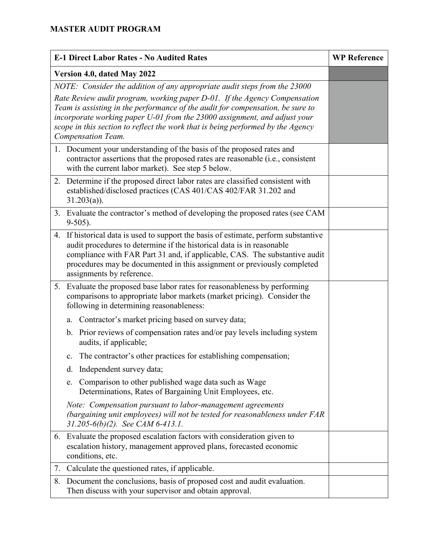|                                                                           | <b>E-1 Direct Labor Rates - No Audited Rates</b>                                                                                                                                                                                                                                                                                                   | <b>WP Reference</b> |
|---------------------------------------------------------------------------|----------------------------------------------------------------------------------------------------------------------------------------------------------------------------------------------------------------------------------------------------------------------------------------------------------------------------------------------------|---------------------|
| Version 4.0, dated May 2022                                               |                                                                                                                                                                                                                                                                                                                                                    |                     |
| NOTE: Consider the addition of any appropriate audit steps from the 23000 |                                                                                                                                                                                                                                                                                                                                                    |                     |
|                                                                           | Rate Review audit program, working paper D-01. If the Agency Compensation<br>Team is assisting in the performance of the audit for compensation, be sure to<br>incorporate working paper U-01 from the 23000 assignment, and adjust your<br>scope in this section to reflect the work that is being performed by the Agency<br>Compensation Team.  |                     |
|                                                                           | 1. Document your understanding of the basis of the proposed rates and<br>contractor assertions that the proposed rates are reasonable (i.e., consistent<br>with the current labor market). See step 5 below.                                                                                                                                       |                     |
|                                                                           | 2. Determine if the proposed direct labor rates are classified consistent with<br>established/disclosed practices (CAS 401/CAS 402/FAR 31.202 and<br>$31.203(a)$ ).                                                                                                                                                                                |                     |
|                                                                           | 3. Evaluate the contractor's method of developing the proposed rates (see CAM<br>$9-505$ ).                                                                                                                                                                                                                                                        |                     |
|                                                                           | 4. If historical data is used to support the basis of estimate, perform substantive<br>audit procedures to determine if the historical data is in reasonable<br>compliance with FAR Part 31 and, if applicable, CAS. The substantive audit<br>procedures may be documented in this assignment or previously completed<br>assignments by reference. |                     |
| 5.                                                                        | Evaluate the proposed base labor rates for reasonableness by performing<br>comparisons to appropriate labor markets (market pricing). Consider the<br>following in determining reasonableness:                                                                                                                                                     |                     |
|                                                                           | Contractor's market pricing based on survey data;<br>a.                                                                                                                                                                                                                                                                                            |                     |
|                                                                           | b. Prior reviews of compensation rates and/or pay levels including system<br>audits, if applicable;                                                                                                                                                                                                                                                |                     |
|                                                                           | The contractor's other practices for establishing compensation;<br>$\mathbf{c}$ .                                                                                                                                                                                                                                                                  |                     |
|                                                                           | Independent survey data;<br>d.                                                                                                                                                                                                                                                                                                                     |                     |
|                                                                           | Comparison to other published wage data such as Wage<br>e.<br>Determinations, Rates of Bargaining Unit Employees, etc.                                                                                                                                                                                                                             |                     |
|                                                                           | Note: Compensation pursuant to labor-management agreements<br>(bargaining unit employees) will not be tested for reasonableness under FAR<br>$31.205-6(b)(2)$ . See CAM 6-413.1.                                                                                                                                                                   |                     |
|                                                                           | 6. Evaluate the proposed escalation factors with consideration given to<br>escalation history, management approved plans, forecasted economic<br>conditions, etc.                                                                                                                                                                                  |                     |
| 7.                                                                        | Calculate the questioned rates, if applicable.                                                                                                                                                                                                                                                                                                     |                     |
|                                                                           | 8. Document the conclusions, basis of proposed cost and audit evaluation.<br>Then discuss with your supervisor and obtain approval.                                                                                                                                                                                                                |                     |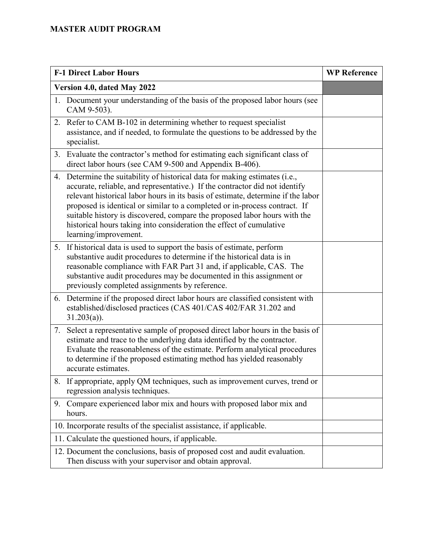| <b>F-1 Direct Labor Hours</b>                                                                                                                                                                                                                                                                                                                                                                                                                                                                             | <b>WP Reference</b> |
|-----------------------------------------------------------------------------------------------------------------------------------------------------------------------------------------------------------------------------------------------------------------------------------------------------------------------------------------------------------------------------------------------------------------------------------------------------------------------------------------------------------|---------------------|
| Version 4.0, dated May 2022                                                                                                                                                                                                                                                                                                                                                                                                                                                                               |                     |
| 1. Document your understanding of the basis of the proposed labor hours (see<br>CAM 9-503).                                                                                                                                                                                                                                                                                                                                                                                                               |                     |
| 2. Refer to CAM B-102 in determining whether to request specialist<br>assistance, and if needed, to formulate the questions to be addressed by the<br>specialist.                                                                                                                                                                                                                                                                                                                                         |                     |
| Evaluate the contractor's method for estimating each significant class of<br>3.<br>direct labor hours (see CAM 9-500 and Appendix B-406).                                                                                                                                                                                                                                                                                                                                                                 |                     |
| 4. Determine the suitability of historical data for making estimates (i.e.,<br>accurate, reliable, and representative.) If the contractor did not identify<br>relevant historical labor hours in its basis of estimate, determine if the labor<br>proposed is identical or similar to a completed or in-process contract. If<br>suitable history is discovered, compare the proposed labor hours with the<br>historical hours taking into consideration the effect of cumulative<br>learning/improvement. |                     |
| 5. If historical data is used to support the basis of estimate, perform<br>substantive audit procedures to determine if the historical data is in<br>reasonable compliance with FAR Part 31 and, if applicable, CAS. The<br>substantive audit procedures may be documented in this assignment or<br>previously completed assignments by reference.                                                                                                                                                        |                     |
| 6. Determine if the proposed direct labor hours are classified consistent with<br>established/disclosed practices (CAS 401/CAS 402/FAR 31.202 and<br>$31.203(a)$ ).                                                                                                                                                                                                                                                                                                                                       |                     |
| Select a representative sample of proposed direct labor hours in the basis of<br>7.<br>estimate and trace to the underlying data identified by the contractor.<br>Evaluate the reasonableness of the estimate. Perform analytical procedures<br>to determine if the proposed estimating method has yielded reasonably<br>accurate estimates.                                                                                                                                                              |                     |
| 8. If appropriate, apply QM techniques, such as improvement curves, trend or<br>regression analysis techniques.                                                                                                                                                                                                                                                                                                                                                                                           |                     |
| Compare experienced labor mix and hours with proposed labor mix and<br>9.<br>hours.                                                                                                                                                                                                                                                                                                                                                                                                                       |                     |
| 10. Incorporate results of the specialist assistance, if applicable.                                                                                                                                                                                                                                                                                                                                                                                                                                      |                     |
| 11. Calculate the questioned hours, if applicable.                                                                                                                                                                                                                                                                                                                                                                                                                                                        |                     |
| 12. Document the conclusions, basis of proposed cost and audit evaluation.<br>Then discuss with your supervisor and obtain approval.                                                                                                                                                                                                                                                                                                                                                                      |                     |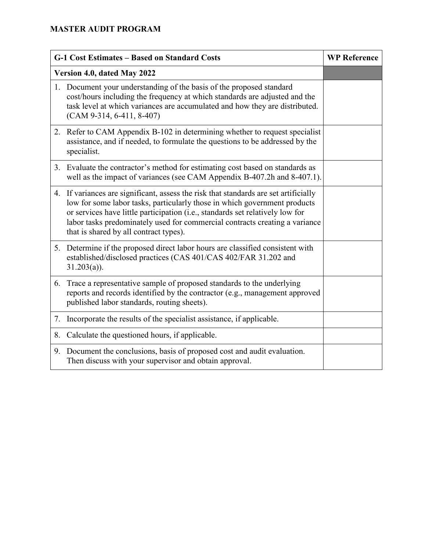|    | G-1 Cost Estimates - Based on Standard Costs                                                                                                                                                                                                                                                                                                                                | <b>WP Reference</b> |
|----|-----------------------------------------------------------------------------------------------------------------------------------------------------------------------------------------------------------------------------------------------------------------------------------------------------------------------------------------------------------------------------|---------------------|
|    | Version 4.0, dated May 2022                                                                                                                                                                                                                                                                                                                                                 |                     |
|    | 1. Document your understanding of the basis of the proposed standard<br>cost/hours including the frequency at which standards are adjusted and the<br>task level at which variances are accumulated and how they are distributed.<br>$(CAM 9-314, 6-411, 8-407)$                                                                                                            |                     |
| 2. | Refer to CAM Appendix B-102 in determining whether to request specialist<br>assistance, and if needed, to formulate the questions to be addressed by the<br>specialist.                                                                                                                                                                                                     |                     |
|    | 3. Evaluate the contractor's method for estimating cost based on standards as<br>well as the impact of variances (see CAM Appendix B-407.2h and 8-407.1).                                                                                                                                                                                                                   |                     |
|    | 4. If variances are significant, assess the risk that standards are set artificially<br>low for some labor tasks, particularly those in which government products<br>or services have little participation (i.e., standards set relatively low for<br>labor tasks predominately used for commercial contracts creating a variance<br>that is shared by all contract types). |                     |
|    | 5. Determine if the proposed direct labor hours are classified consistent with<br>established/disclosed practices (CAS 401/CAS 402/FAR 31.202 and<br>$31.203(a)$ ).                                                                                                                                                                                                         |                     |
| 6. | Trace a representative sample of proposed standards to the underlying<br>reports and records identified by the contractor (e.g., management approved<br>published labor standards, routing sheets).                                                                                                                                                                         |                     |
| 7. | Incorporate the results of the specialist assistance, if applicable.                                                                                                                                                                                                                                                                                                        |                     |
| 8. | Calculate the questioned hours, if applicable.                                                                                                                                                                                                                                                                                                                              |                     |
|    | 9. Document the conclusions, basis of proposed cost and audit evaluation.<br>Then discuss with your supervisor and obtain approval.                                                                                                                                                                                                                                         |                     |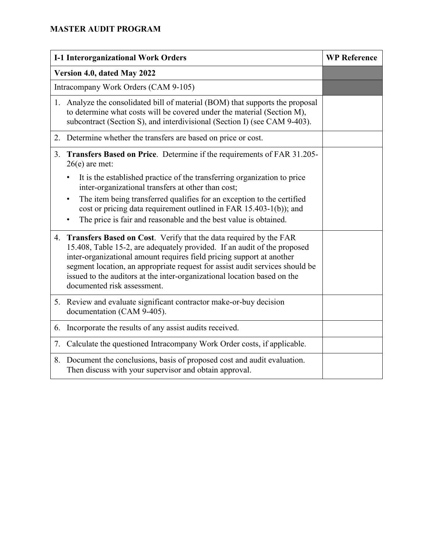| <b>I-1 Interorganizational Work Orders</b>                                                                                                                                                                                                                                                                                                                                                                           | <b>WP Reference</b> |
|----------------------------------------------------------------------------------------------------------------------------------------------------------------------------------------------------------------------------------------------------------------------------------------------------------------------------------------------------------------------------------------------------------------------|---------------------|
| Version 4.0, dated May 2022                                                                                                                                                                                                                                                                                                                                                                                          |                     |
| Intracompany Work Orders (CAM 9-105)                                                                                                                                                                                                                                                                                                                                                                                 |                     |
| 1. Analyze the consolidated bill of material (BOM) that supports the proposal<br>to determine what costs will be covered under the material (Section M),<br>subcontract (Section S), and interdivisional (Section I) (see CAM 9-403).                                                                                                                                                                                |                     |
| 2. Determine whether the transfers are based on price or cost.                                                                                                                                                                                                                                                                                                                                                       |                     |
| Transfers Based on Price. Determine if the requirements of FAR 31.205-<br>3.<br>$26(e)$ are met:                                                                                                                                                                                                                                                                                                                     |                     |
| It is the established practice of the transferring organization to price<br>inter-organizational transfers at other than cost;                                                                                                                                                                                                                                                                                       |                     |
| The item being transferred qualifies for an exception to the certified<br>cost or pricing data requirement outlined in FAR 15.403-1(b)); and<br>The price is fair and reasonable and the best value is obtained.                                                                                                                                                                                                     |                     |
| 4. Transfers Based on Cost. Verify that the data required by the FAR<br>15.408, Table 15-2, are adequately provided. If an audit of the proposed<br>inter-organizational amount requires field pricing support at another<br>segment location, an appropriate request for assist audit services should be<br>issued to the auditors at the inter-organizational location based on the<br>documented risk assessment. |                     |
| 5. Review and evaluate significant contractor make-or-buy decision<br>documentation (CAM 9-405).                                                                                                                                                                                                                                                                                                                     |                     |
| 6. Incorporate the results of any assist audits received.                                                                                                                                                                                                                                                                                                                                                            |                     |
| Calculate the questioned Intracompany Work Order costs, if applicable.<br>7.                                                                                                                                                                                                                                                                                                                                         |                     |
| 8. Document the conclusions, basis of proposed cost and audit evaluation.<br>Then discuss with your supervisor and obtain approval.                                                                                                                                                                                                                                                                                  |                     |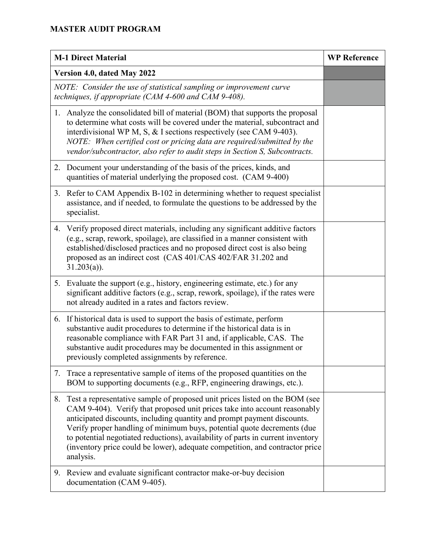|    | <b>M-1 Direct Material</b>                                                                                                                                                                                                                                                                                                                                                                                                                                                                     | <b>WP Reference</b> |
|----|------------------------------------------------------------------------------------------------------------------------------------------------------------------------------------------------------------------------------------------------------------------------------------------------------------------------------------------------------------------------------------------------------------------------------------------------------------------------------------------------|---------------------|
|    | Version 4.0, dated May 2022                                                                                                                                                                                                                                                                                                                                                                                                                                                                    |                     |
|    | NOTE: Consider the use of statistical sampling or improvement curve<br>techniques, if appropriate (CAM 4-600 and CAM 9-408).                                                                                                                                                                                                                                                                                                                                                                   |                     |
| 1. | Analyze the consolidated bill of material (BOM) that supports the proposal<br>to determine what costs will be covered under the material, subcontract and<br>interdivisional WP M, S, & I sections respectively (see CAM 9-403).<br>NOTE: When certified cost or pricing data are required/submitted by the<br>vendor/subcontractor, also refer to audit steps in Section S, Subcontracts.                                                                                                     |                     |
|    | 2. Document your understanding of the basis of the prices, kinds, and<br>quantities of material underlying the proposed cost. (CAM 9-400)                                                                                                                                                                                                                                                                                                                                                      |                     |
|    | 3. Refer to CAM Appendix B-102 in determining whether to request specialist<br>assistance, and if needed, to formulate the questions to be addressed by the<br>specialist.                                                                                                                                                                                                                                                                                                                     |                     |
| 4. | Verify proposed direct materials, including any significant additive factors<br>(e.g., scrap, rework, spoilage), are classified in a manner consistent with<br>established/disclosed practices and no proposed direct cost is also being<br>proposed as an indirect cost (CAS 401/CAS 402/FAR 31.202 and<br>$31.203(a)$ ).                                                                                                                                                                     |                     |
|    | 5. Evaluate the support (e.g., history, engineering estimate, etc.) for any<br>significant additive factors (e.g., scrap, rework, spoilage), if the rates were<br>not already audited in a rates and factors review.                                                                                                                                                                                                                                                                           |                     |
|    | 6. If historical data is used to support the basis of estimate, perform<br>substantive audit procedures to determine if the historical data is in<br>reasonable compliance with FAR Part 31 and, if applicable, CAS. The<br>substantive audit procedures may be documented in this assignment or<br>previously completed assignments by reference.                                                                                                                                             |                     |
|    | 7. Trace a representative sample of items of the proposed quantities on the<br>BOM to supporting documents (e.g., RFP, engineering drawings, etc.).                                                                                                                                                                                                                                                                                                                                            |                     |
| 8. | Test a representative sample of proposed unit prices listed on the BOM (see<br>CAM 9-404). Verify that proposed unit prices take into account reasonably<br>anticipated discounts, including quantity and prompt payment discounts.<br>Verify proper handling of minimum buys, potential quote decrements (due<br>to potential negotiated reductions), availability of parts in current inventory<br>(inventory price could be lower), adequate competition, and contractor price<br>analysis. |                     |
|    | 9. Review and evaluate significant contractor make-or-buy decision<br>documentation (CAM 9-405).                                                                                                                                                                                                                                                                                                                                                                                               |                     |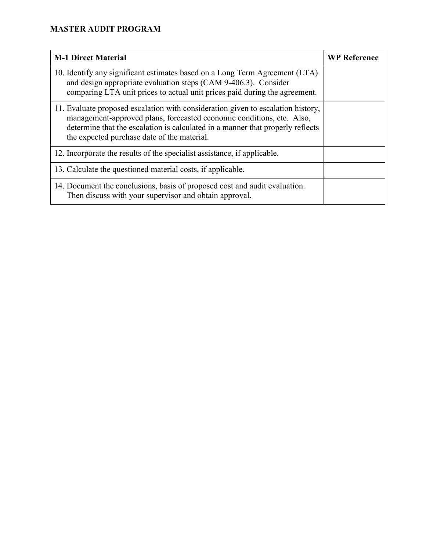| <b>M-1 Direct Material</b>                                                                                                                                                                                                                                                                 | <b>WP Reference</b> |
|--------------------------------------------------------------------------------------------------------------------------------------------------------------------------------------------------------------------------------------------------------------------------------------------|---------------------|
| 10. Identify any significant estimates based on a Long Term Agreement (LTA)<br>and design appropriate evaluation steps (CAM 9-406.3). Consider<br>comparing LTA unit prices to actual unit prices paid during the agreement.                                                               |                     |
| 11. Evaluate proposed escalation with consideration given to escalation history,<br>management-approved plans, forecasted economic conditions, etc. Also,<br>determine that the escalation is calculated in a manner that properly reflects<br>the expected purchase date of the material. |                     |
| 12. Incorporate the results of the specialist assistance, if applicable.                                                                                                                                                                                                                   |                     |
| 13. Calculate the questioned material costs, if applicable.                                                                                                                                                                                                                                |                     |
| 14. Document the conclusions, basis of proposed cost and audit evaluation.<br>Then discuss with your supervisor and obtain approval.                                                                                                                                                       |                     |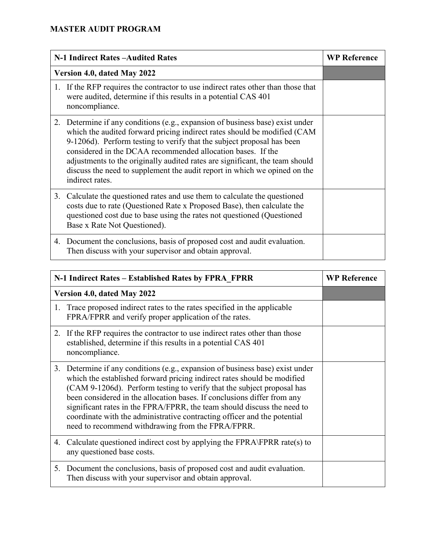| N-1 Indirect Rates - Audited Rates                                                                                                                                                                                                                                                                                                                                                                                                                                                 | <b>WP Reference</b> |
|------------------------------------------------------------------------------------------------------------------------------------------------------------------------------------------------------------------------------------------------------------------------------------------------------------------------------------------------------------------------------------------------------------------------------------------------------------------------------------|---------------------|
| Version 4.0, dated May 2022                                                                                                                                                                                                                                                                                                                                                                                                                                                        |                     |
| 1. If the RFP requires the contractor to use indirect rates other than those that<br>were audited, determine if this results in a potential CAS 401<br>noncompliance.                                                                                                                                                                                                                                                                                                              |                     |
| 2. Determine if any conditions (e.g., expansion of business base) exist under<br>which the audited forward pricing indirect rates should be modified (CAM<br>9-1206d). Perform testing to verify that the subject proposal has been<br>considered in the DCAA recommended allocation bases. If the<br>adjustments to the originally audited rates are significant, the team should<br>discuss the need to supplement the audit report in which we opined on the<br>indirect rates. |                     |
| 3. Calculate the questioned rates and use them to calculate the questioned<br>costs due to rate (Questioned Rate x Proposed Base), then calculate the<br>questioned cost due to base using the rates not questioned (Questioned<br>Base x Rate Not Questioned).                                                                                                                                                                                                                    |                     |
| 4. Document the conclusions, basis of proposed cost and audit evaluation.<br>Then discuss with your supervisor and obtain approval.                                                                                                                                                                                                                                                                                                                                                |                     |

| N-1 Indirect Rates – Established Rates by FPRA FPRR                                                                                                                                                                                                                                                                                                                                                                                                                                                                       | <b>WP Reference</b> |
|---------------------------------------------------------------------------------------------------------------------------------------------------------------------------------------------------------------------------------------------------------------------------------------------------------------------------------------------------------------------------------------------------------------------------------------------------------------------------------------------------------------------------|---------------------|
| Version 4.0, dated May 2022                                                                                                                                                                                                                                                                                                                                                                                                                                                                                               |                     |
| 1. Trace proposed indirect rates to the rates specified in the applicable<br>FPRA/FPRR and verify proper application of the rates.                                                                                                                                                                                                                                                                                                                                                                                        |                     |
| 2. If the RFP requires the contractor to use indirect rates other than those<br>established, determine if this results in a potential CAS 401<br>noncompliance.                                                                                                                                                                                                                                                                                                                                                           |                     |
| 3. Determine if any conditions (e.g., expansion of business base) exist under<br>which the established forward pricing indirect rates should be modified<br>(CAM 9-1206d). Perform testing to verify that the subject proposal has<br>been considered in the allocation bases. If conclusions differ from any<br>significant rates in the FPRA/FPRR, the team should discuss the need to<br>coordinate with the administrative contracting officer and the potential<br>need to recommend withdrawing from the FPRA/FPRR. |                     |
| 4. Calculate questioned indirect cost by applying the FPRA\FPRR rate(s) to<br>any questioned base costs.                                                                                                                                                                                                                                                                                                                                                                                                                  |                     |
| 5. Document the conclusions, basis of proposed cost and audit evaluation.<br>Then discuss with your supervisor and obtain approval.                                                                                                                                                                                                                                                                                                                                                                                       |                     |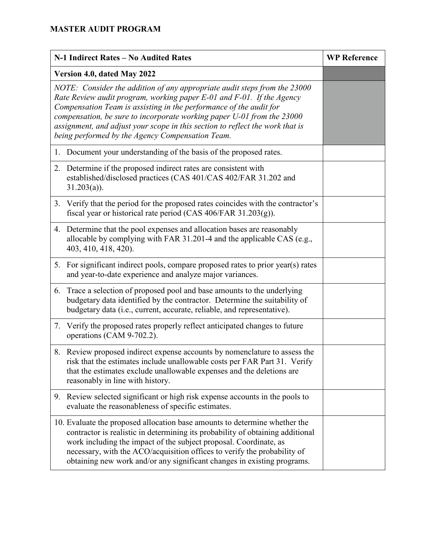|                                                                                                                                                                                                                                                                                                                                                                                                                                         | N-1 Indirect Rates - No Audited Rates                                                                                                                                                                                                                                                                                                                                                    | <b>WP Reference</b> |
|-----------------------------------------------------------------------------------------------------------------------------------------------------------------------------------------------------------------------------------------------------------------------------------------------------------------------------------------------------------------------------------------------------------------------------------------|------------------------------------------------------------------------------------------------------------------------------------------------------------------------------------------------------------------------------------------------------------------------------------------------------------------------------------------------------------------------------------------|---------------------|
|                                                                                                                                                                                                                                                                                                                                                                                                                                         | Version 4.0, dated May 2022                                                                                                                                                                                                                                                                                                                                                              |                     |
| NOTE: Consider the addition of any appropriate audit steps from the 23000<br>Rate Review audit program, working paper E-01 and F-01. If the Agency<br>Compensation Team is assisting in the performance of the audit for<br>compensation, be sure to incorporate working paper U-01 from the 23000<br>assignment, and adjust your scope in this section to reflect the work that is<br>being performed by the Agency Compensation Team. |                                                                                                                                                                                                                                                                                                                                                                                          |                     |
|                                                                                                                                                                                                                                                                                                                                                                                                                                         | 1. Document your understanding of the basis of the proposed rates.                                                                                                                                                                                                                                                                                                                       |                     |
|                                                                                                                                                                                                                                                                                                                                                                                                                                         | 2. Determine if the proposed indirect rates are consistent with<br>established/disclosed practices (CAS 401/CAS 402/FAR 31.202 and<br>$31.203(a)$ ).                                                                                                                                                                                                                                     |                     |
| 3.                                                                                                                                                                                                                                                                                                                                                                                                                                      | Verify that the period for the proposed rates coincides with the contractor's<br>fiscal year or historical rate period (CAS 406/FAR 31.203(g)).                                                                                                                                                                                                                                          |                     |
|                                                                                                                                                                                                                                                                                                                                                                                                                                         | 4. Determine that the pool expenses and allocation bases are reasonably<br>allocable by complying with FAR 31.201-4 and the applicable CAS (e.g.,<br>403, 410, 418, 420).                                                                                                                                                                                                                |                     |
|                                                                                                                                                                                                                                                                                                                                                                                                                                         | 5. For significant indirect pools, compare proposed rates to prior year(s) rates<br>and year-to-date experience and analyze major variances.                                                                                                                                                                                                                                             |                     |
|                                                                                                                                                                                                                                                                                                                                                                                                                                         | 6. Trace a selection of proposed pool and base amounts to the underlying<br>budgetary data identified by the contractor. Determine the suitability of<br>budgetary data (i.e., current, accurate, reliable, and representative).                                                                                                                                                         |                     |
|                                                                                                                                                                                                                                                                                                                                                                                                                                         | 7. Verify the proposed rates properly reflect anticipated changes to future<br>operations (CAM 9-702.2).                                                                                                                                                                                                                                                                                 |                     |
|                                                                                                                                                                                                                                                                                                                                                                                                                                         | 8. Review proposed indirect expense accounts by nomenclature to assess the<br>risk that the estimates include unallowable costs per FAR Part 31. Verify<br>that the estimates exclude unallowable expenses and the deletions are<br>reasonably in line with history.                                                                                                                     |                     |
|                                                                                                                                                                                                                                                                                                                                                                                                                                         | 9. Review selected significant or high risk expense accounts in the pools to<br>evaluate the reasonableness of specific estimates.                                                                                                                                                                                                                                                       |                     |
|                                                                                                                                                                                                                                                                                                                                                                                                                                         | 10. Evaluate the proposed allocation base amounts to determine whether the<br>contractor is realistic in determining its probability of obtaining additional<br>work including the impact of the subject proposal. Coordinate, as<br>necessary, with the ACO/acquisition offices to verify the probability of<br>obtaining new work and/or any significant changes in existing programs. |                     |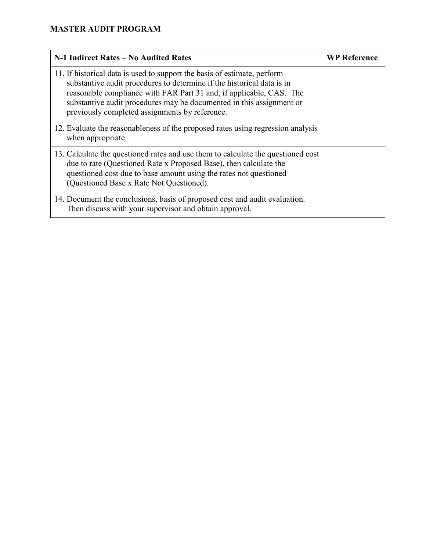| N-1 Indirect Rates – No Audited Rates                                                                                                                                                                                                                                                                                                               | <b>WP Reference</b> |
|-----------------------------------------------------------------------------------------------------------------------------------------------------------------------------------------------------------------------------------------------------------------------------------------------------------------------------------------------------|---------------------|
| 11. If historical data is used to support the basis of estimate, perform<br>substantive audit procedures to determine if the historical data is in<br>reasonable compliance with FAR Part 31 and, if applicable, CAS. The<br>substantive audit procedures may be documented in this assignment or<br>previously completed assignments by reference. |                     |
| 12. Evaluate the reasonableness of the proposed rates using regression analysis<br>when appropriate.                                                                                                                                                                                                                                                |                     |
| 13. Calculate the questioned rates and use them to calculate the questioned cost<br>due to rate (Questioned Rate x Proposed Base), then calculate the<br>questioned cost due to base amount using the rates not questioned<br>(Questioned Base x Rate Not Questioned).                                                                              |                     |
| 14. Document the conclusions, basis of proposed cost and audit evaluation.<br>Then discuss with your supervisor and obtain approval.                                                                                                                                                                                                                |                     |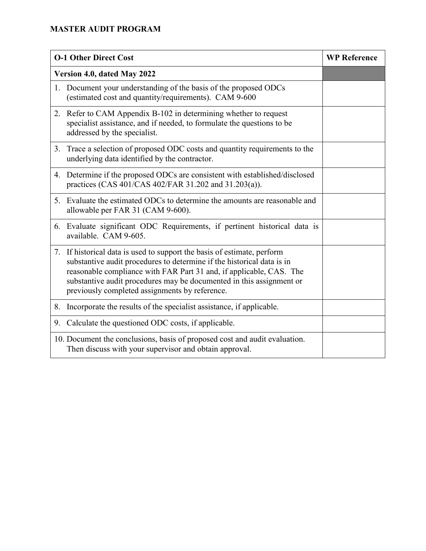| <b>O-1 Other Direct Cost</b>                                                                                                                                                                                                                                                                                                                       | <b>WP Reference</b> |
|----------------------------------------------------------------------------------------------------------------------------------------------------------------------------------------------------------------------------------------------------------------------------------------------------------------------------------------------------|---------------------|
| Version 4.0, dated May 2022                                                                                                                                                                                                                                                                                                                        |                     |
| 1. Document your understanding of the basis of the proposed ODCs<br>(estimated cost and quantity/requirements). CAM 9-600                                                                                                                                                                                                                          |                     |
| 2. Refer to CAM Appendix B-102 in determining whether to request<br>specialist assistance, and if needed, to formulate the questions to be<br>addressed by the specialist.                                                                                                                                                                         |                     |
| 3. Trace a selection of proposed ODC costs and quantity requirements to the<br>underlying data identified by the contractor.                                                                                                                                                                                                                       |                     |
| 4. Determine if the proposed ODCs are consistent with established/disclosed<br>practices (CAS 401/CAS 402/FAR 31.202 and 31.203(a)).                                                                                                                                                                                                               |                     |
| 5. Evaluate the estimated ODCs to determine the amounts are reasonable and<br>allowable per FAR 31 (CAM 9-600).                                                                                                                                                                                                                                    |                     |
| 6. Evaluate significant ODC Requirements, if pertinent historical data is<br>available. CAM 9-605.                                                                                                                                                                                                                                                 |                     |
| 7. If historical data is used to support the basis of estimate, perform<br>substantive audit procedures to determine if the historical data is in<br>reasonable compliance with FAR Part 31 and, if applicable, CAS. The<br>substantive audit procedures may be documented in this assignment or<br>previously completed assignments by reference. |                     |
| 8. Incorporate the results of the specialist assistance, if applicable.                                                                                                                                                                                                                                                                            |                     |
| 9. Calculate the questioned ODC costs, if applicable.                                                                                                                                                                                                                                                                                              |                     |
| 10. Document the conclusions, basis of proposed cost and audit evaluation.<br>Then discuss with your supervisor and obtain approval.                                                                                                                                                                                                               |                     |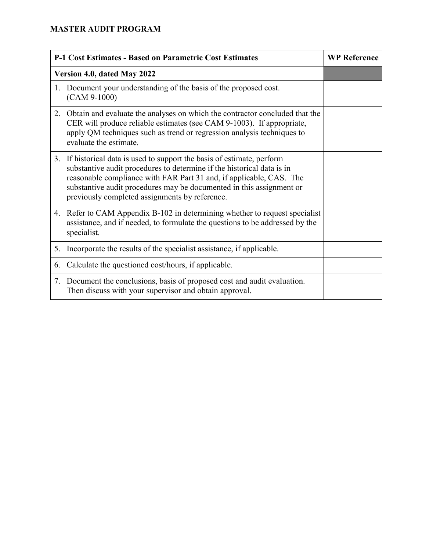|    | <b>P-1 Cost Estimates - Based on Parametric Cost Estimates</b>                                                                                                                                                                                                                                                                                     | <b>WP Reference</b> |
|----|----------------------------------------------------------------------------------------------------------------------------------------------------------------------------------------------------------------------------------------------------------------------------------------------------------------------------------------------------|---------------------|
|    | Version 4.0, dated May 2022                                                                                                                                                                                                                                                                                                                        |                     |
| 1. | Document your understanding of the basis of the proposed cost.<br>$(CAM 9-1000)$                                                                                                                                                                                                                                                                   |                     |
| 2. | Obtain and evaluate the analyses on which the contractor concluded that the<br>CER will produce reliable estimates (see CAM 9-1003). If appropriate,<br>apply QM techniques such as trend or regression analysis techniques to<br>evaluate the estimate.                                                                                           |                     |
|    | 3. If historical data is used to support the basis of estimate, perform<br>substantive audit procedures to determine if the historical data is in<br>reasonable compliance with FAR Part 31 and, if applicable, CAS. The<br>substantive audit procedures may be documented in this assignment or<br>previously completed assignments by reference. |                     |
|    | 4. Refer to CAM Appendix B-102 in determining whether to request specialist<br>assistance, and if needed, to formulate the questions to be addressed by the<br>specialist.                                                                                                                                                                         |                     |
| 5. | Incorporate the results of the specialist assistance, if applicable.                                                                                                                                                                                                                                                                               |                     |
| 6. | Calculate the questioned cost/hours, if applicable.                                                                                                                                                                                                                                                                                                |                     |
|    | 7. Document the conclusions, basis of proposed cost and audit evaluation.<br>Then discuss with your supervisor and obtain approval.                                                                                                                                                                                                                |                     |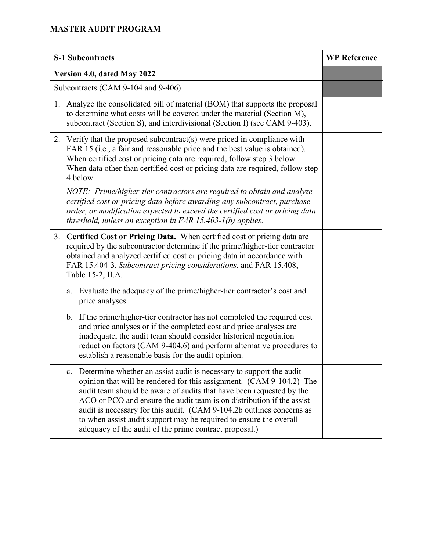|    | <b>S-1 Subcontracts</b>                                                                                                                                                                                                                                                                                                                                                                                                                                                                                              | <b>WP Reference</b> |
|----|----------------------------------------------------------------------------------------------------------------------------------------------------------------------------------------------------------------------------------------------------------------------------------------------------------------------------------------------------------------------------------------------------------------------------------------------------------------------------------------------------------------------|---------------------|
|    | Version 4.0, dated May 2022                                                                                                                                                                                                                                                                                                                                                                                                                                                                                          |                     |
|    | Subcontracts (CAM 9-104 and 9-406)                                                                                                                                                                                                                                                                                                                                                                                                                                                                                   |                     |
|    | 1. Analyze the consolidated bill of material (BOM) that supports the proposal<br>to determine what costs will be covered under the material (Section M),<br>subcontract (Section S), and interdivisional (Section I) (see CAM 9-403).                                                                                                                                                                                                                                                                                |                     |
| 2. | Verify that the proposed subcontract(s) were priced in compliance with<br>FAR 15 (i.e., a fair and reasonable price and the best value is obtained).<br>When certified cost or pricing data are required, follow step 3 below.<br>When data other than certified cost or pricing data are required, follow step<br>4 below.                                                                                                                                                                                          |                     |
|    | NOTE: Prime/higher-tier contractors are required to obtain and analyze<br>certified cost or pricing data before awarding any subcontract, purchase<br>order, or modification expected to exceed the certified cost or pricing data<br>threshold, unless an exception in FAR 15.403-1(b) applies.                                                                                                                                                                                                                     |                     |
| 3. | Certified Cost or Pricing Data. When certified cost or pricing data are<br>required by the subcontractor determine if the prime/higher-tier contractor<br>obtained and analyzed certified cost or pricing data in accordance with<br>FAR 15.404-3, Subcontract pricing considerations, and FAR 15.408,<br>Table 15-2, II.A.                                                                                                                                                                                          |                     |
|    | Evaluate the adequacy of the prime/higher-tier contractor's cost and<br>a.<br>price analyses.                                                                                                                                                                                                                                                                                                                                                                                                                        |                     |
|    | b. If the prime/higher-tier contractor has not completed the required cost<br>and price analyses or if the completed cost and price analyses are<br>inadequate, the audit team should consider historical negotiation<br>reduction factors (CAM 9-404.6) and perform alternative procedures to<br>establish a reasonable basis for the audit opinion.                                                                                                                                                                |                     |
|    | Determine whether an assist audit is necessary to support the audit<br>$c_{\cdot}$<br>opinion that will be rendered for this assignment. (CAM 9-104.2) The<br>audit team should be aware of audits that have been requested by the<br>ACO or PCO and ensure the audit team is on distribution if the assist<br>audit is necessary for this audit. (CAM 9-104.2b outlines concerns as<br>to when assist audit support may be required to ensure the overall<br>adequacy of the audit of the prime contract proposal.) |                     |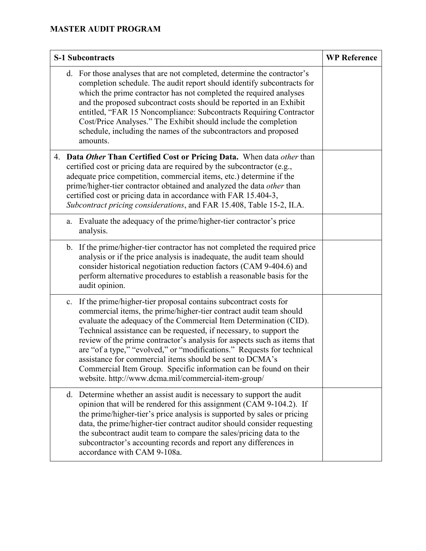| <b>S-1 Subcontracts</b> |    | <b>WP Reference</b>                                                                                                                                                                                                                                                                                                                                                                                                                                                                                                                                                                                                              |  |
|-------------------------|----|----------------------------------------------------------------------------------------------------------------------------------------------------------------------------------------------------------------------------------------------------------------------------------------------------------------------------------------------------------------------------------------------------------------------------------------------------------------------------------------------------------------------------------------------------------------------------------------------------------------------------------|--|
|                         |    | d. For those analyses that are not completed, determine the contractor's<br>completion schedule. The audit report should identify subcontracts for<br>which the prime contractor has not completed the required analyses<br>and the proposed subcontract costs should be reported in an Exhibit<br>entitled, "FAR 15 Noncompliance: Subcontracts Requiring Contractor<br>Cost/Price Analyses." The Exhibit should include the completion<br>schedule, including the names of the subcontractors and proposed<br>amounts.                                                                                                         |  |
|                         |    | 4. Data Other Than Certified Cost or Pricing Data. When data other than<br>certified cost or pricing data are required by the subcontractor (e.g.,<br>adequate price competition, commercial items, etc.) determine if the<br>prime/higher-tier contractor obtained and analyzed the data other than<br>certified cost or pricing data in accordance with FAR 15.404-3,<br>Subcontract pricing considerations, and FAR 15.408, Table 15-2, II.A.                                                                                                                                                                                 |  |
|                         | a. | Evaluate the adequacy of the prime/higher-tier contractor's price<br>analysis.                                                                                                                                                                                                                                                                                                                                                                                                                                                                                                                                                   |  |
|                         |    | b. If the prime/higher-tier contractor has not completed the required price<br>analysis or if the price analysis is inadequate, the audit team should<br>consider historical negotiation reduction factors (CAM 9-404.6) and<br>perform alternative procedures to establish a reasonable basis for the<br>audit opinion.                                                                                                                                                                                                                                                                                                         |  |
|                         | c. | If the prime/higher-tier proposal contains subcontract costs for<br>commercial items, the prime/higher-tier contract audit team should<br>evaluate the adequacy of the Commercial Item Determination (CID).<br>Technical assistance can be requested, if necessary, to support the<br>review of the prime contractor's analysis for aspects such as items that<br>are "of a type," "evolved," or "modifications." Requests for technical<br>assistance for commercial items should be sent to DCMA's<br>Commercial Item Group. Specific information can be found on their<br>website. http://www.dcma.mil/commercial-item-group/ |  |
|                         |    | d. Determine whether an assist audit is necessary to support the audit<br>opinion that will be rendered for this assignment (CAM 9-104.2). If<br>the prime/higher-tier's price analysis is supported by sales or pricing<br>data, the prime/higher-tier contract auditor should consider requesting<br>the subcontract audit team to compare the sales/pricing data to the<br>subcontractor's accounting records and report any differences in<br>accordance with CAM 9-108a.                                                                                                                                                    |  |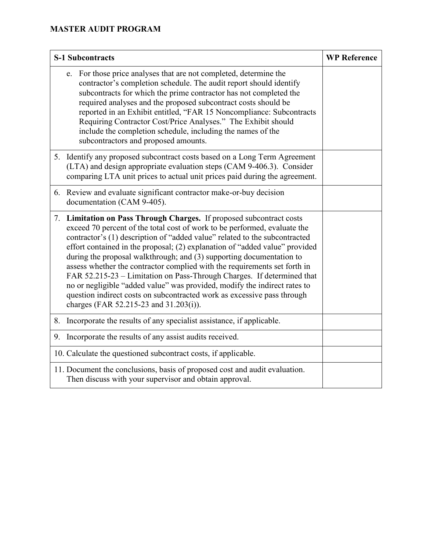| <b>S-1 Subcontracts</b>                                                                                                                                                                                                                                                                                                                                                                                                                                                                                                                                                                                                                                                                                                                         | <b>WP Reference</b> |
|-------------------------------------------------------------------------------------------------------------------------------------------------------------------------------------------------------------------------------------------------------------------------------------------------------------------------------------------------------------------------------------------------------------------------------------------------------------------------------------------------------------------------------------------------------------------------------------------------------------------------------------------------------------------------------------------------------------------------------------------------|---------------------|
| e. For those price analyses that are not completed, determine the<br>contractor's completion schedule. The audit report should identify<br>subcontracts for which the prime contractor has not completed the<br>required analyses and the proposed subcontract costs should be<br>reported in an Exhibit entitled, "FAR 15 Noncompliance: Subcontracts<br>Requiring Contractor Cost/Price Analyses." The Exhibit should<br>include the completion schedule, including the names of the<br>subcontractors and proposed amounts.                                                                                                                                                                                                                  |                     |
| 5. Identify any proposed subcontract costs based on a Long Term Agreement<br>(LTA) and design appropriate evaluation steps (CAM 9-406.3). Consider<br>comparing LTA unit prices to actual unit prices paid during the agreement.                                                                                                                                                                                                                                                                                                                                                                                                                                                                                                                |                     |
| 6. Review and evaluate significant contractor make-or-buy decision<br>documentation (CAM 9-405).                                                                                                                                                                                                                                                                                                                                                                                                                                                                                                                                                                                                                                                |                     |
| 7. Limitation on Pass Through Charges. If proposed subcontract costs<br>exceed 70 percent of the total cost of work to be performed, evaluate the<br>contractor's (1) description of "added value" related to the subcontracted<br>effort contained in the proposal; (2) explanation of "added value" provided<br>during the proposal walkthrough; and (3) supporting documentation to<br>assess whether the contractor complied with the requirements set forth in<br>FAR 52.215-23 – Limitation on Pass-Through Charges. If determined that<br>no or negligible "added value" was provided, modify the indirect rates to<br>question indirect costs on subcontracted work as excessive pass through<br>charges (FAR 52.215-23 and 31.203(i)). |                     |
| 8. Incorporate the results of any specialist assistance, if applicable.                                                                                                                                                                                                                                                                                                                                                                                                                                                                                                                                                                                                                                                                         |                     |
| 9. Incorporate the results of any assist audits received.                                                                                                                                                                                                                                                                                                                                                                                                                                                                                                                                                                                                                                                                                       |                     |
| 10. Calculate the questioned subcontract costs, if applicable.                                                                                                                                                                                                                                                                                                                                                                                                                                                                                                                                                                                                                                                                                  |                     |
| 11. Document the conclusions, basis of proposed cost and audit evaluation.<br>Then discuss with your supervisor and obtain approval.                                                                                                                                                                                                                                                                                                                                                                                                                                                                                                                                                                                                            |                     |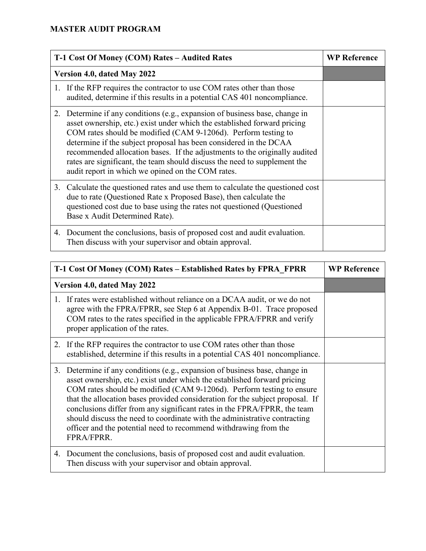| T-1 Cost Of Money (COM) Rates - Audited Rates |                                                                                                                                                                                                                                                                                                                                                                                                                                                                                                                | <b>WP Reference</b> |
|-----------------------------------------------|----------------------------------------------------------------------------------------------------------------------------------------------------------------------------------------------------------------------------------------------------------------------------------------------------------------------------------------------------------------------------------------------------------------------------------------------------------------------------------------------------------------|---------------------|
|                                               | Version 4.0, dated May 2022                                                                                                                                                                                                                                                                                                                                                                                                                                                                                    |                     |
|                                               | 1. If the RFP requires the contractor to use COM rates other than those<br>audited, determine if this results in a potential CAS 401 noncompliance.                                                                                                                                                                                                                                                                                                                                                            |                     |
|                                               | 2. Determine if any conditions (e.g., expansion of business base, change in<br>asset ownership, etc.) exist under which the established forward pricing<br>COM rates should be modified (CAM 9-1206d). Perform testing to<br>determine if the subject proposal has been considered in the DCAA<br>recommended allocation bases. If the adjustments to the originally audited<br>rates are significant, the team should discuss the need to supplement the<br>audit report in which we opined on the COM rates. |                     |
|                                               | 3. Calculate the questioned rates and use them to calculate the questioned cost<br>due to rate (Questioned Rate x Proposed Base), then calculate the<br>questioned cost due to base using the rates not questioned (Questioned<br>Base x Audit Determined Rate).                                                                                                                                                                                                                                               |                     |
|                                               | 4. Document the conclusions, basis of proposed cost and audit evaluation.<br>Then discuss with your supervisor and obtain approval.                                                                                                                                                                                                                                                                                                                                                                            |                     |

| T-1 Cost Of Money (COM) Rates – Established Rates by FPRA FPRR                                                                                                                                                                                                                                                                                                                                                                                                                                                                                                  |  | <b>WP Reference</b> |
|-----------------------------------------------------------------------------------------------------------------------------------------------------------------------------------------------------------------------------------------------------------------------------------------------------------------------------------------------------------------------------------------------------------------------------------------------------------------------------------------------------------------------------------------------------------------|--|---------------------|
| Version 4.0, dated May 2022                                                                                                                                                                                                                                                                                                                                                                                                                                                                                                                                     |  |                     |
| 1. If rates were established without reliance on a DCAA audit, or we do not<br>agree with the FPRA/FPRR, see Step 6 at Appendix B-01. Trace proposed<br>COM rates to the rates specified in the applicable FPRA/FPRR and verify<br>proper application of the rates.                                                                                                                                                                                                                                                                                             |  |                     |
| 2. If the RFP requires the contractor to use COM rates other than those<br>established, determine if this results in a potential CAS 401 noncompliance.                                                                                                                                                                                                                                                                                                                                                                                                         |  |                     |
| Determine if any conditions (e.g., expansion of business base, change in<br>3.<br>asset ownership, etc.) exist under which the established forward pricing<br>COM rates should be modified (CAM 9-1206d). Perform testing to ensure<br>that the allocation bases provided consideration for the subject proposal. If<br>conclusions differ from any significant rates in the FPRA/FPRR, the team<br>should discuss the need to coordinate with the administrative contracting<br>officer and the potential need to recommend withdrawing from the<br>FPRA/FPRR. |  |                     |
| 4. Document the conclusions, basis of proposed cost and audit evaluation.<br>Then discuss with your supervisor and obtain approval.                                                                                                                                                                                                                                                                                                                                                                                                                             |  |                     |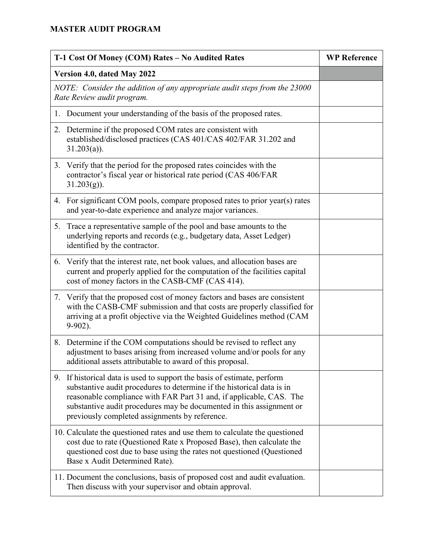| T-1 Cost Of Money (COM) Rates - No Audited Rates                                                        |                                                                                                                                                                                                                                                                                                                                                    | <b>WP Reference</b> |
|---------------------------------------------------------------------------------------------------------|----------------------------------------------------------------------------------------------------------------------------------------------------------------------------------------------------------------------------------------------------------------------------------------------------------------------------------------------------|---------------------|
| Version 4.0, dated May 2022                                                                             |                                                                                                                                                                                                                                                                                                                                                    |                     |
| NOTE: Consider the addition of any appropriate audit steps from the 23000<br>Rate Review audit program. |                                                                                                                                                                                                                                                                                                                                                    |                     |
|                                                                                                         | 1. Document your understanding of the basis of the proposed rates.                                                                                                                                                                                                                                                                                 |                     |
|                                                                                                         | 2. Determine if the proposed COM rates are consistent with<br>established/disclosed practices (CAS 401/CAS 402/FAR 31.202 and<br>$31.203(a)$ ).                                                                                                                                                                                                    |                     |
|                                                                                                         | 3. Verify that the period for the proposed rates coincides with the<br>contractor's fiscal year or historical rate period (CAS 406/FAR<br>$31.203(g)$ ).                                                                                                                                                                                           |                     |
|                                                                                                         | 4. For significant COM pools, compare proposed rates to prior year(s) rates<br>and year-to-date experience and analyze major variances.                                                                                                                                                                                                            |                     |
|                                                                                                         | 5. Trace a representative sample of the pool and base amounts to the<br>underlying reports and records (e.g., budgetary data, Asset Ledger)<br>identified by the contractor.                                                                                                                                                                       |                     |
|                                                                                                         | 6. Verify that the interest rate, net book values, and allocation bases are<br>current and properly applied for the computation of the facilities capital<br>cost of money factors in the CASB-CMF (CAS 414).                                                                                                                                      |                     |
|                                                                                                         | 7. Verify that the proposed cost of money factors and bases are consistent<br>with the CASB-CMF submission and that costs are properly classified for<br>arriving at a profit objective via the Weighted Guidelines method (CAM<br>$9-902$ ).                                                                                                      |                     |
|                                                                                                         | 8. Determine if the COM computations should be revised to reflect any<br>adjustment to bases arising from increased volume and/or pools for any<br>additional assets attributable to award of this proposal.                                                                                                                                       |                     |
|                                                                                                         | 9. If historical data is used to support the basis of estimate, perform<br>substantive audit procedures to determine if the historical data is in<br>reasonable compliance with FAR Part 31 and, if applicable, CAS. The<br>substantive audit procedures may be documented in this assignment or<br>previously completed assignments by reference. |                     |
|                                                                                                         | 10. Calculate the questioned rates and use them to calculate the questioned<br>cost due to rate (Questioned Rate x Proposed Base), then calculate the<br>questioned cost due to base using the rates not questioned (Questioned<br>Base x Audit Determined Rate).                                                                                  |                     |
|                                                                                                         | 11. Document the conclusions, basis of proposed cost and audit evaluation.<br>Then discuss with your supervisor and obtain approval.                                                                                                                                                                                                               |                     |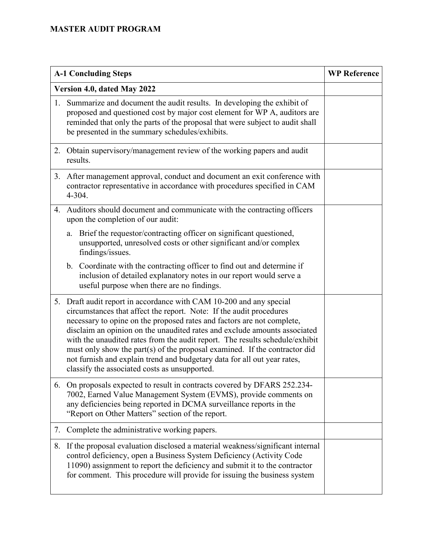| <b>A-1 Concluding Steps</b> |                                                                                                                                                                                                                                                                                                                                                                                                                                                                                                                                                                                              | <b>WP Reference</b> |
|-----------------------------|----------------------------------------------------------------------------------------------------------------------------------------------------------------------------------------------------------------------------------------------------------------------------------------------------------------------------------------------------------------------------------------------------------------------------------------------------------------------------------------------------------------------------------------------------------------------------------------------|---------------------|
| Version 4.0, dated May 2022 |                                                                                                                                                                                                                                                                                                                                                                                                                                                                                                                                                                                              |                     |
| 1.                          | Summarize and document the audit results. In developing the exhibit of<br>proposed and questioned cost by major cost element for WP A, auditors are<br>reminded that only the parts of the proposal that were subject to audit shall<br>be presented in the summary schedules/exhibits.                                                                                                                                                                                                                                                                                                      |                     |
|                             | 2. Obtain supervisory/management review of the working papers and audit<br>results.                                                                                                                                                                                                                                                                                                                                                                                                                                                                                                          |                     |
| 3.                          | After management approval, conduct and document an exit conference with<br>contractor representative in accordance with procedures specified in CAM<br>4-304.                                                                                                                                                                                                                                                                                                                                                                                                                                |                     |
| 4.                          | Auditors should document and communicate with the contracting officers<br>upon the completion of our audit:                                                                                                                                                                                                                                                                                                                                                                                                                                                                                  |                     |
|                             | Brief the requestor/contracting officer on significant questioned,<br>a.<br>unsupported, unresolved costs or other significant and/or complex<br>findings/issues.                                                                                                                                                                                                                                                                                                                                                                                                                            |                     |
|                             | b. Coordinate with the contracting officer to find out and determine if<br>inclusion of detailed explanatory notes in our report would serve a<br>useful purpose when there are no findings.                                                                                                                                                                                                                                                                                                                                                                                                 |                     |
|                             | 5. Draft audit report in accordance with CAM 10-200 and any special<br>circumstances that affect the report. Note: If the audit procedures<br>necessary to opine on the proposed rates and factors are not complete,<br>disclaim an opinion on the unaudited rates and exclude amounts associated<br>with the unaudited rates from the audit report. The results schedule/exhibit<br>must only show the part(s) of the proposal examined. If the contractor did<br>not furnish and explain trend and budgetary data for all out year rates,<br>classify the associated costs as unsupported. |                     |
| 6.                          | On proposals expected to result in contracts covered by DFARS 252.234-<br>7002, Earned Value Management System (EVMS), provide comments on<br>any deficiencies being reported in DCMA surveillance reports in the<br>"Report on Other Matters" section of the report.                                                                                                                                                                                                                                                                                                                        |                     |
| 7.                          | Complete the administrative working papers.                                                                                                                                                                                                                                                                                                                                                                                                                                                                                                                                                  |                     |
| 8.                          | If the proposal evaluation disclosed a material weakness/significant internal<br>control deficiency, open a Business System Deficiency (Activity Code<br>11090) assignment to report the deficiency and submit it to the contractor<br>for comment. This procedure will provide for issuing the business system                                                                                                                                                                                                                                                                              |                     |